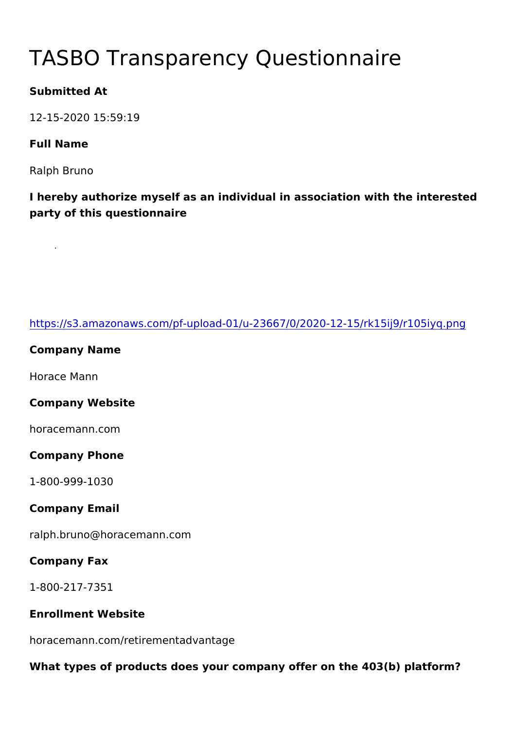# TASBO Transparency Questionna

Submitted At

12-15-2020 15:59:19

Full Name

Ralph Bruno

I hereby authorize myself as an individual in association with the party of this questionnaire

| https://s3.amazonaws.com/pf-upload-01/u-23667/0/2020-12-15/rk1   |
|------------------------------------------------------------------|
| Company Name                                                     |
| Horace Mann                                                      |
| Company Website                                                  |
| horacemann.com                                                   |
| Company Phone                                                    |
| $1 - 800 - 999 - 1030$                                           |
| Company Email                                                    |
| ralph.bruno@horacemann.com                                       |
| Company Fax                                                      |
| $1 - 800 - 217 - 7351$                                           |
| Enrollment Website                                               |
| horacemann.com/retirementadvantage                               |
| What types of products does your company offer on the 403(b) pla |
|                                                                  |
|                                                                  |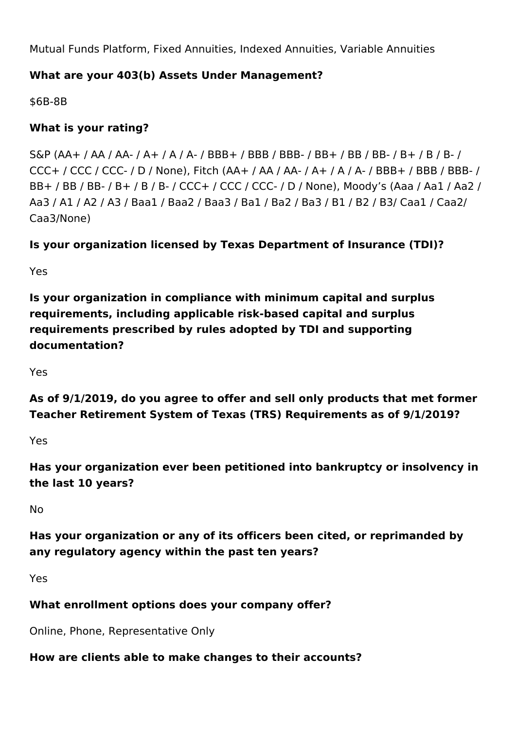Mutual Funds Platform, Fixed Annuities, Indexed Annuities, Variable Annuities

## **What are your 403(b) Assets Under Management?**

\$6B-8B

## **What is your rating?**

S&P (AA+ / AA / AA- / A+ / A / A- / BBB+ / BBB / BBB- / BB+ / BB / BB- / B+ / B / B- / CCC+ / CCC / CCC- / D / None), Fitch (AA+ / AA / AA- / A+ / A / A- / BBB+ / BBB / BBB- / BB+ / BB / BB- / B+ / B / B- / CCC+ / CCC / CCC- / D / None), Moody's (Aaa / Aa1 / Aa2 / Aa3 / A1 / A2 / A3 / Baa1 / Baa2 / Baa3 / Ba1 / Ba2 / Ba3 / B1 / B2 / B3/ Caa1 / Caa2/ Caa3/None)

## **Is your organization licensed by Texas Department of Insurance (TDI)?**

Yes

**Is your organization in compliance with minimum capital and surplus requirements, including applicable risk-based capital and surplus requirements prescribed by rules adopted by TDI and supporting documentation?**

Yes

**As of 9/1/2019, do you agree to offer and sell only products that met former Teacher Retirement System of Texas (TRS) Requirements as of 9/1/2019?**

Yes

**Has your organization ever been petitioned into bankruptcy or insolvency in the last 10 years?**

No

**Has your organization or any of its officers been cited, or reprimanded by any regulatory agency within the past ten years?**

Yes

## **What enrollment options does your company offer?**

Online, Phone, Representative Only

## **How are clients able to make changes to their accounts?**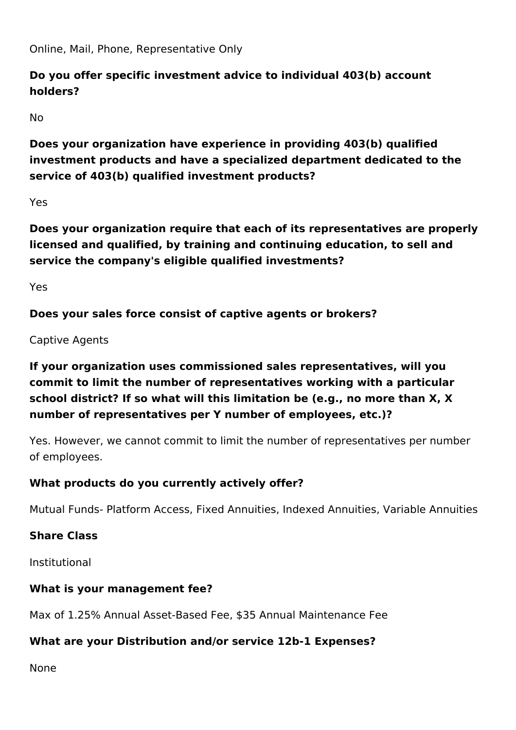Online, Mail, Phone, Representative Only

## **Do you offer specific investment advice to individual 403(b) account holders?**

No

**Does your organization have experience in providing 403(b) qualified investment products and have a specialized department dedicated to the service of 403(b) qualified investment products?**

Yes

**Does your organization require that each of its representatives are properly licensed and qualified, by training and continuing education, to sell and service the company's eligible qualified investments?** 

Yes

**Does your sales force consist of captive agents or brokers?**

Captive Agents

# **If your organization uses commissioned sales representatives, will you commit to limit the number of representatives working with a particular school district? If so what will this limitation be (e.g., no more than X, X number of representatives per Y number of employees, etc.)?**

Yes. However, we cannot commit to limit the number of representatives per number of employees.

## **What products do you currently actively offer?**

Mutual Funds- Platform Access, Fixed Annuities, Indexed Annuities, Variable Annuities

## **Share Class**

Institutional

## **What is your management fee?**

Max of 1.25% Annual Asset-Based Fee, \$35 Annual Maintenance Fee

## **What are your Distribution and/or service 12b-1 Expenses?**

None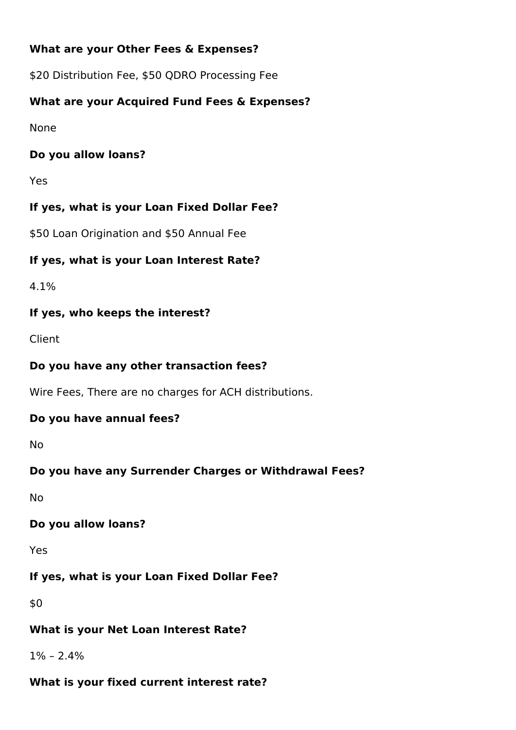#### **What are your Other Fees & Expenses?**

\$20 Distribution Fee, \$50 QDRO Processing Fee

## **What are your Acquired Fund Fees & Expenses?**

None

#### **Do you allow loans?**

Yes

## **If yes, what is your Loan Fixed Dollar Fee?**

\$50 Loan Origination and \$50 Annual Fee

#### **If yes, what is your Loan Interest Rate?**

4.1%

#### **If yes, who keeps the interest?**

Client

#### **Do you have any other transaction fees?**

Wire Fees, There are no charges for ACH distributions.

#### **Do you have annual fees?**

No

## **Do you have any Surrender Charges or Withdrawal Fees?**

No

## **Do you allow loans?**

Yes

# **If yes, what is your Loan Fixed Dollar Fee?**

\$0

## **What is your Net Loan Interest Rate?**

 $1\% - 2.4\%$ 

## **What is your fixed current interest rate?**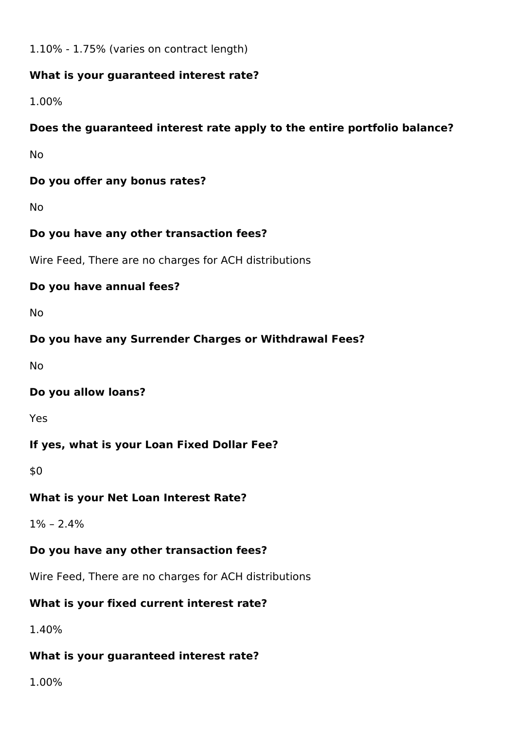1.10% - 1.75% (varies on contract length)

#### **What is your guaranteed interest rate?**

1.00%

## **Does the guaranteed interest rate apply to the entire portfolio balance?**

No

## **Do you offer any bonus rates?**

No

## **Do you have any other transaction fees?**

Wire Feed, There are no charges for ACH distributions

## **Do you have annual fees?**

No

## **Do you have any Surrender Charges or Withdrawal Fees?**

No

## **Do you allow loans?**

Yes

## **If yes, what is your Loan Fixed Dollar Fee?**

\$0

## **What is your Net Loan Interest Rate?**

 $1\% - 2.4\%$ 

## **Do you have any other transaction fees?**

Wire Feed, There are no charges for ACH distributions

## **What is your fixed current interest rate?**

1.40%

## **What is your guaranteed interest rate?**

1.00%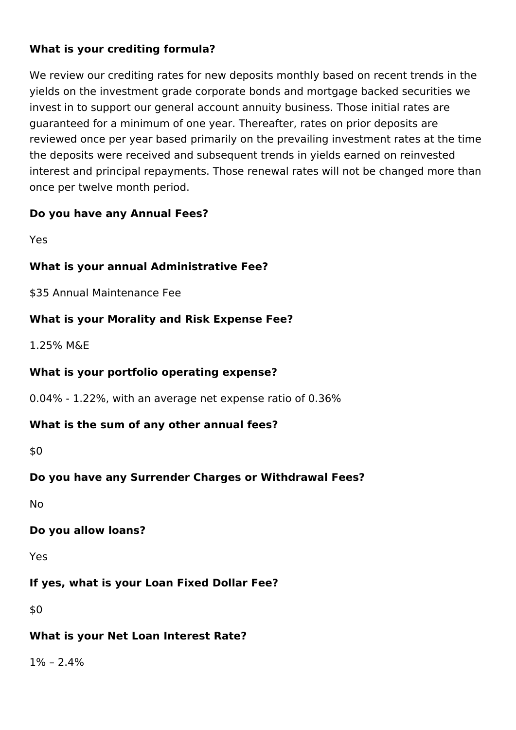## **What is your crediting formula?**

We review our crediting rates for new deposits monthly based on recent trends in the yields on the investment grade corporate bonds and mortgage backed securities we invest in to support our general account annuity business. Those initial rates are guaranteed for a minimum of one year. Thereafter, rates on prior deposits are reviewed once per year based primarily on the prevailing investment rates at the time the deposits were received and subsequent trends in yields earned on reinvested interest and principal repayments. Those renewal rates will not be changed more than once per twelve month period.

## **Do you have any Annual Fees?**

Yes

## **What is your annual Administrative Fee?**

\$35 Annual Maintenance Fee

## **What is your Morality and Risk Expense Fee?**

1.25% M&E

## **What is your portfolio operating expense?**

0.04% - 1.22%, with an average net expense ratio of 0.36%

#### **What is the sum of any other annual fees?**

\$0

## **Do you have any Surrender Charges or Withdrawal Fees?**

No

#### **Do you allow loans?**

Yes

## **If yes, what is your Loan Fixed Dollar Fee?**

\$0

## **What is your Net Loan Interest Rate?**

 $1\% - 2.4\%$